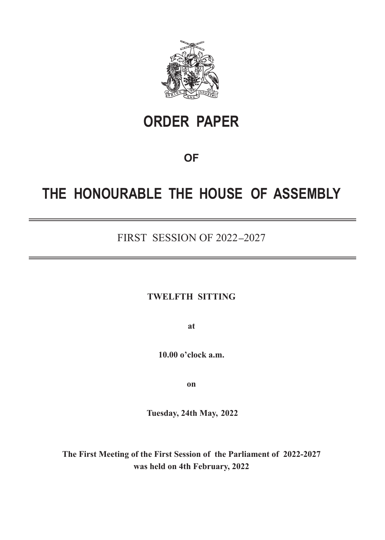

# **ORDER PAPER**

### **OF**

## **THE HONOURABLE THE HOUSE OF ASSEMBLY**

### FIRST SESSION OF 2022 **–**2027

#### **TWELFTH SITTING**

**at**

**10.00 o'clock a.m.**

**on**

 **Tuesday, 24th May,  2022**

**The First Meeting of the First Session of the Parliament of 2022-2027 was held on 4th February, 2022**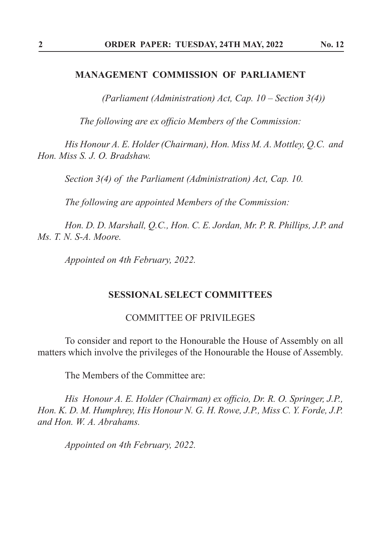#### **MANAGEMENT COMMISSION OF PARLIAMENT**

*(Parliament (Administration) Act, Cap. 10 – Section 3(4))*

*The following are ex officio Members of the Commission:*

*His Honour A. E. Holder (Chairman), Hon. Miss M. A. Mottley, Q.C. and Hon. Miss S. J. O. Bradshaw.*

*Section 3(4) of the Parliament (Administration) Act, Cap. 10.*

*The following are appointed Members of the Commission:*

*Hon. D. D. Marshall, Q.C., Hon. C. E. Jordan, Mr. P. R. Phillips, J.P. and Ms. T. N. S-A. Moore.*

*Appointed on 4th February, 2022.*

#### **SESSIONAL SELECT COMMITTEES**

#### COMMITTEE OF PRIVILEGES

To consider and report to the Honourable the House of Assembly on all matters which involve the privileges of the Honourable the House of Assembly.

The Members of the Committee are:

*His Honour A. E. Holder (Chairman) ex officio, Dr. R. O. Springer, J.P., Hon. K. D. M. Humphrey, His Honour N. G. H. Rowe, J.P., Miss C. Y. Forde, J.P. and Hon. W. A. Abrahams.*

*Appointed on 4th February, 2022.*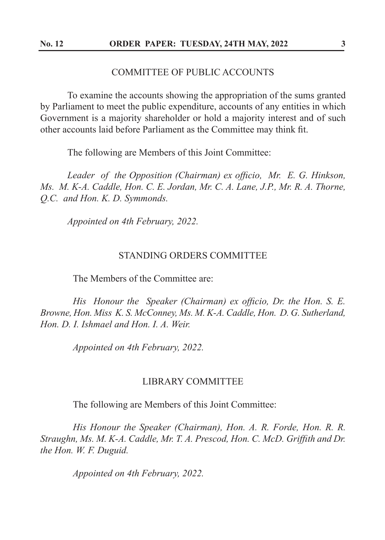#### COMMITTEE OF PUBLIC ACCOUNTS

 To examine the accounts showing the appropriation of the sums granted by Parliament to meet the public expenditure, accounts of any entities in which Government is a majority shareholder or hold a majority interest and of such other accounts laid before Parliament as the Committee may think fit.

The following are Members of this Joint Committee:

 *Leader of the Opposition (Chairman) ex officio, Mr. E. G. Hinkson, Ms. M. K-A. Caddle, Hon. C. E. Jordan, Mr. C. A. Lane, J.P., Mr. R. A. Thorne, Q.C. and Hon. K. D. Symmonds.*

*Appointed on 4th February, 2022.*

#### STANDING ORDERS COMMITTEE

The Members of the Committee are:

 *His Honour the Speaker (Chairman) ex officio, Dr. the Hon. S. E. Browne, Hon. Miss K. S. McConney, Ms. M. K-A. Caddle, Hon. D. G. Sutherland, Hon. D. I. Ishmael and Hon. I. A. Weir.*

*Appointed on 4th February, 2022.*

#### LIBRARY COMMITTEE

The following are Members of this Joint Committee:

 *His Honour the Speaker (Chairman), Hon. A. R. Forde, Hon. R. R. Straughn, Ms. M. K-A. Caddle, Mr. T. A. Prescod, Hon. C. McD. Griffith and Dr. the Hon. W. F. Duguid.*

*Appointed on 4th February, 2022.*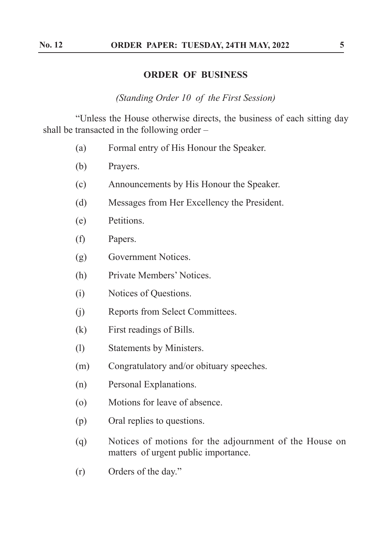#### **ORDER OF BUSINESS**

*(Standing Order 10 of the First Session)*

 "Unless the House otherwise directs, the business of each sitting day shall be transacted in the following order –

- (a) Formal entry of His Honour the Speaker.
- (b) Prayers.
- (c) Announcements by His Honour the Speaker.
- (d) Messages from Her Excellency the President.
- (e) Petitions.
- (f) Papers.
- (g) Government Notices.
- (h) Private Members' Notices.
- (i) Notices of Questions.
- (j) Reports from Select Committees.
- (k) First readings of Bills.
- (l) Statements by Ministers.
- (m) Congratulatory and/or obituary speeches.
- (n) Personal Explanations.
- (o) Motions for leave of absence.
- (p) Oral replies to questions.
- (q) Notices of motions for the adjournment of the House on matters of urgent public importance.
- (r) Orders of the day."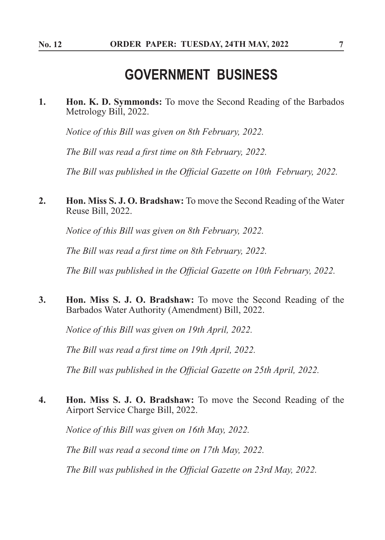### **GOVERNMENT BUSINESS**

**1. Hon. K. D. Symmonds:** To move the Second Reading of the Barbados Metrology Bill, 2022.

*Notice of this Bill was given on 8th February, 2022.*

*The Bill was read a first time on 8th February, 2022.*

*The Bill was published in the Official Gazette on 10th February, 2022.*

**2. Hon. Miss S. J. O. Bradshaw:** To move the Second Reading of the Water Reuse Bill, 2022.

*Notice of this Bill was given on 8th February, 2022.*

*The Bill was read a first time on 8th February, 2022.*

*The Bill was published in the Official Gazette on 10th February, 2022.*

**3. Hon. Miss S. J. O. Bradshaw:** To move the Second Reading of the Barbados Water Authority (Amendment) Bill, 2022.

*Notice of this Bill was given on 19th April, 2022.*

*The Bill was read a first time on 19th April, 2022.*

*The Bill was published in the Official Gazette on 25th April, 2022.*

**4. Hon. Miss S. J. O. Bradshaw:** To move the Second Reading of the Airport Service Charge Bill, 2022.

*Notice of this Bill was given on 16th May, 2022.*

*The Bill was read a second time on 17th May, 2022.*

*The Bill was published in the Official Gazette on 23rd May, 2022.*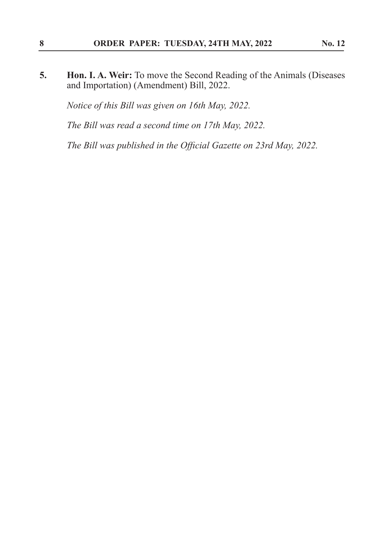**5. Hon. I. A. Weir:** To move the Second Reading of the Animals (Diseases and Importation) (Amendment) Bill, 2022.

*Notice of this Bill was given on 16th May, 2022.*

*The Bill was read a second time on 17th May, 2022.*

*The Bill was published in the Official Gazette on 23rd May, 2022.*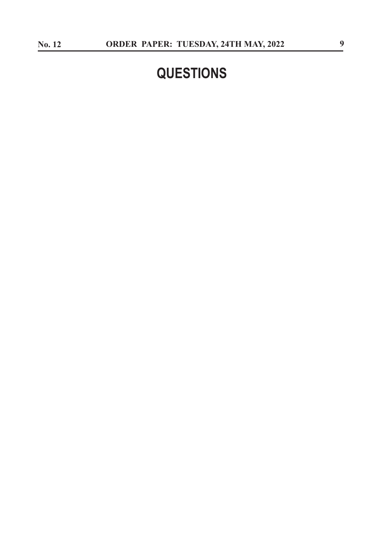# **QUESTIONS**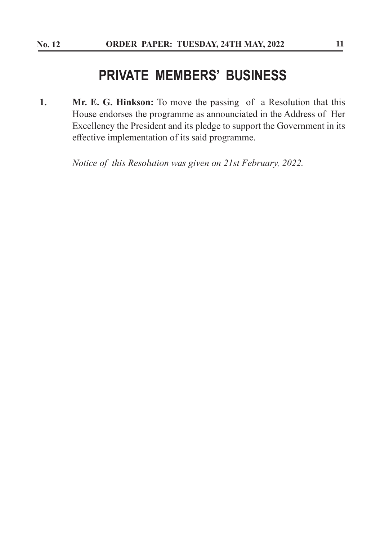### **PRIVATE MEMBERS' BUSINESS**

**1. Mr. E. G. Hinkson:** To move the passing of a Resolution that this House endorses the programme as announciated in the Address of Her Excellency the President and its pledge to support the Government in its effective implementation of its said programme.

*Notice of this Resolution was given on 21st February, 2022.*